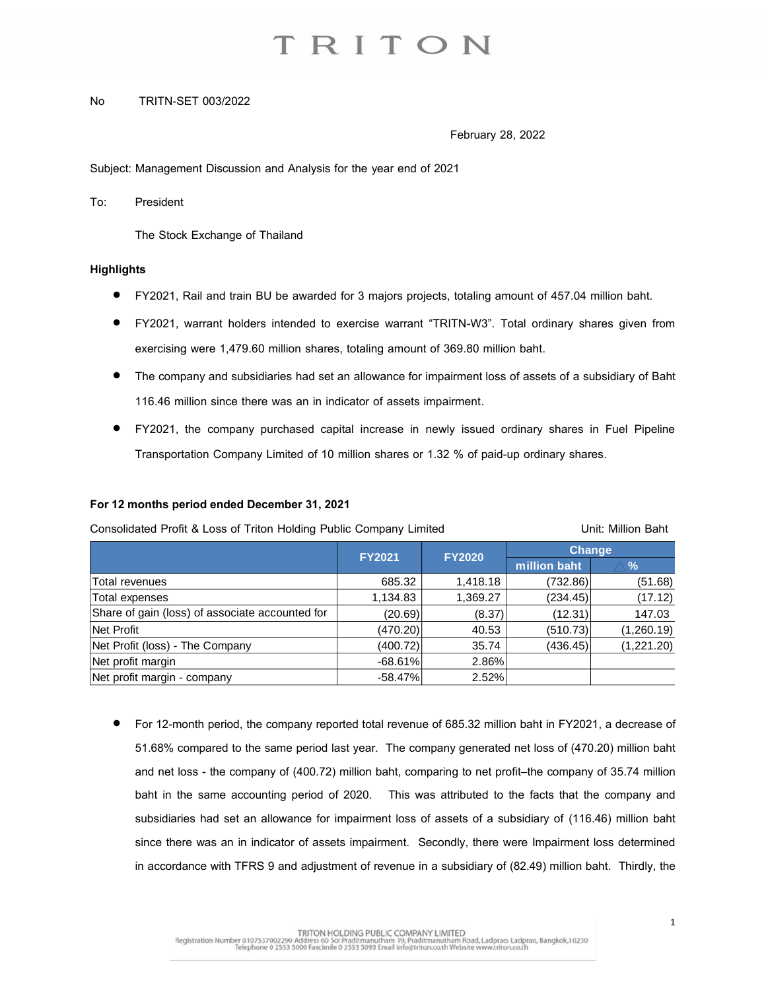### No TRITN-SET 003/2022

February 28, 2022

Subject: Management Discussion and Analysis for the year end of 2021

To: President

The Stock Exchange of Thailand

### **Highlights**

- FY2021, Rail and train BU be awarded for 3 majors projects, totaling amount of 457.04 million baht.
- FY2021, warrant holders intended to exercise warrant "TRITN-W3". Total ordinary shares given from exercising were 1,479.60 million shares, totaling amount of 369.80 million baht.
- The company and subsidiaries had set an allowance for impairment loss of assets of a subsidiary of Baht 116.46 million since there was an in indicator of assets impairment.
- FY2021, the company purchased capital increase in newly issued ordinary shares in Fuel Pipeline Transportation Company Limited of 10 million shares or 1.32 % of paid-up ordinary shares.

### **For 12 months period ended December 31,2021**

| Consolidated Profit & Loss of Triton Holding Public Company Limited |               |               | Unit: Million Baht |            |
|---------------------------------------------------------------------|---------------|---------------|--------------------|------------|
|                                                                     | <b>FY2021</b> | <b>FY2020</b> | Change             |            |
|                                                                     |               |               | million baht       | $\%$       |
| Total revenues                                                      | 685.32        | 1,418.18      | (732.86)           | (51.68)    |
| Total expenses                                                      | 1,134.83      | 1,369.27      | (234.45)           | (17.12)    |
| Share of gain (loss) of associate accounted for                     | (20.69)       | (8.37)        | (12.31)            | 147.03     |
| Net Profit                                                          | (470.20)      | 40.53         | (510.73)           | (1,260.19) |
| Net Profit (loss) - The Company                                     | (400.72)      | 35.74         | (436.45)           | (1,221.20) |
| Net profit margin                                                   | $-68.61%$     | 2.86%         |                    |            |
| Net profit margin - company                                         | $-58.47%$     | 2.52%         |                    |            |

• For 12-month period, the company reported total revenue of 685.32 million baht in FY2021, a decrease of 51.68% compared to the same period last year. The company generated net loss of (470.20) million baht and net loss - the company of (400.72) million baht, comparing to net profit–the company of 35.74 million baht in the same accounting period of 2020. This was attributed to the facts that the company and subsidiaries had set an allowance for impairment loss of assets of a subsidiary of (116.46) million baht since there was an in indicator of assets impairment. Secondly, there were Impairment loss determined in accordance with TFRS 9 and adjustment of revenue in a subsidiary of (82.49) million baht. Thirdly, the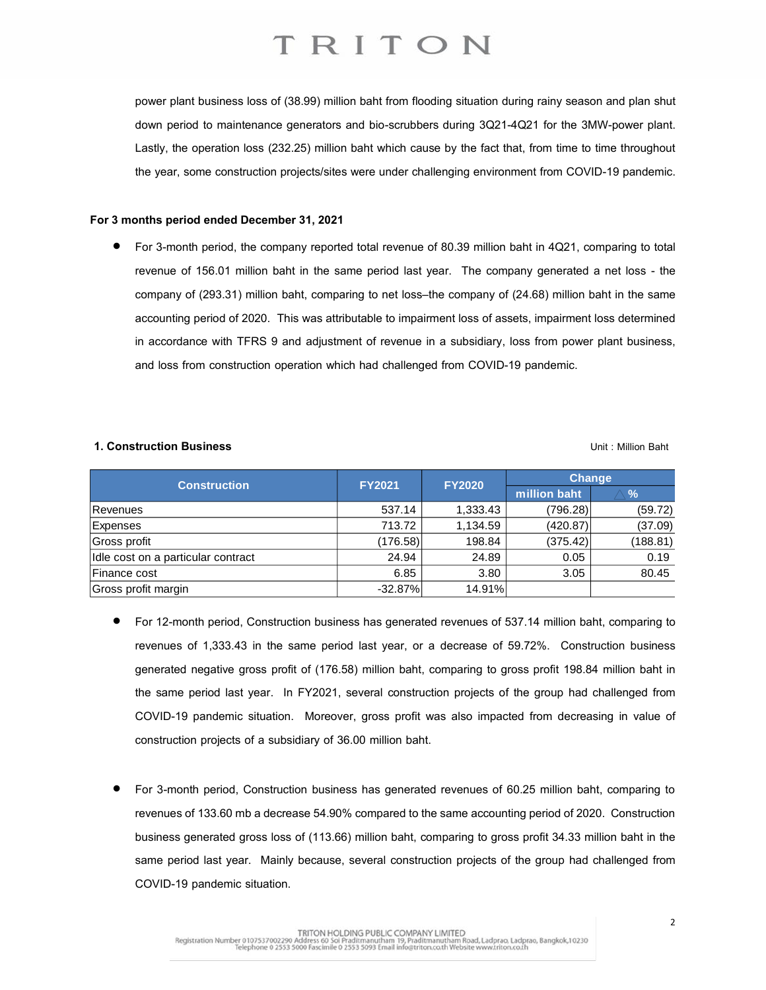power plant business loss of (38.99) million baht from flooding situation during rainy season and plan shut down period to maintenance generators and bio-scrubbers during 3Q21-4Q21 for the 3MW-power plant. Lastly, the operation loss (232.25) million baht which cause by the fact that, from time to time throughout the year, some construction projects/sites were under challenging environment from COVID-19 pandemic.

### **For 3 months period ended December 31, 2021**

• For 3-month period, the company reported total revenue of 80.39 million baht in 4Q21, comparing to total revenue of 156.01 million baht in the same period last year. The company generated a net loss - the company of (293.31) million baht, comparing to net loss–the company of (24.68) million baht in the same accounting period of 2020. This was attributable to impairment loss of assets, impairment loss determined in accordance with TFRS 9 and adjustment of revenue in a subsidiary, loss from power plant business, and loss from construction operation which had challenged from COVID-19 pandemic.

#### **1. Construction Business** Unit : Million Baht

| <b>Construction</b>                | <b>FY2021</b> | <b>FY2020</b> | <b>Change</b> |          |
|------------------------------------|---------------|---------------|---------------|----------|
|                                    |               |               | million baht  | $\%$     |
| Revenues                           | 537.14        | 1,333.43      | (796.28)      | (59.72)  |
| <b>Expenses</b>                    | 713.72        | 1,134.59      | (420.87)      | (37.09)  |
| Gross profit                       | (176.58)      | 198.84        | (375.42)      | (188.81) |
| Idle cost on a particular contract | 24.94         | 24.89         | 0.05          | 0.19     |
| Finance cost                       | 6.85          | 3.80          | 3.05          | 80.45    |
| Gross profit margin                | $-32.87%$     | 14.91%        |               |          |

- For 12-month period, Construction business has generated revenues of 537.14 million baht, comparing to revenues of 1,333.43 in the same period last year, or a decrease of 59.72%. Construction business generated negative gross profit of (176.58) million baht, comparing to gross profit 198.84 million baht in the same period last year. In FY2021, several construction projects of the group had challenged from COVID-19 pandemic situation. Moreover, gross profit was also impacted from decreasing in value of construction projects of a subsidiary of 36.00 million baht.
- For 3-month period, Construction business has generated revenues of 60.25 million baht, comparing to revenues of 133.60 mb a decrease 54.90% compared to the same accounting period of 2020. Construction business generated gross loss of (113.66) million baht, comparing to gross profit 34.33 million baht in the same period last year. Mainly because, several construction projects of the group had challenged from COVID-19 pandemic situation.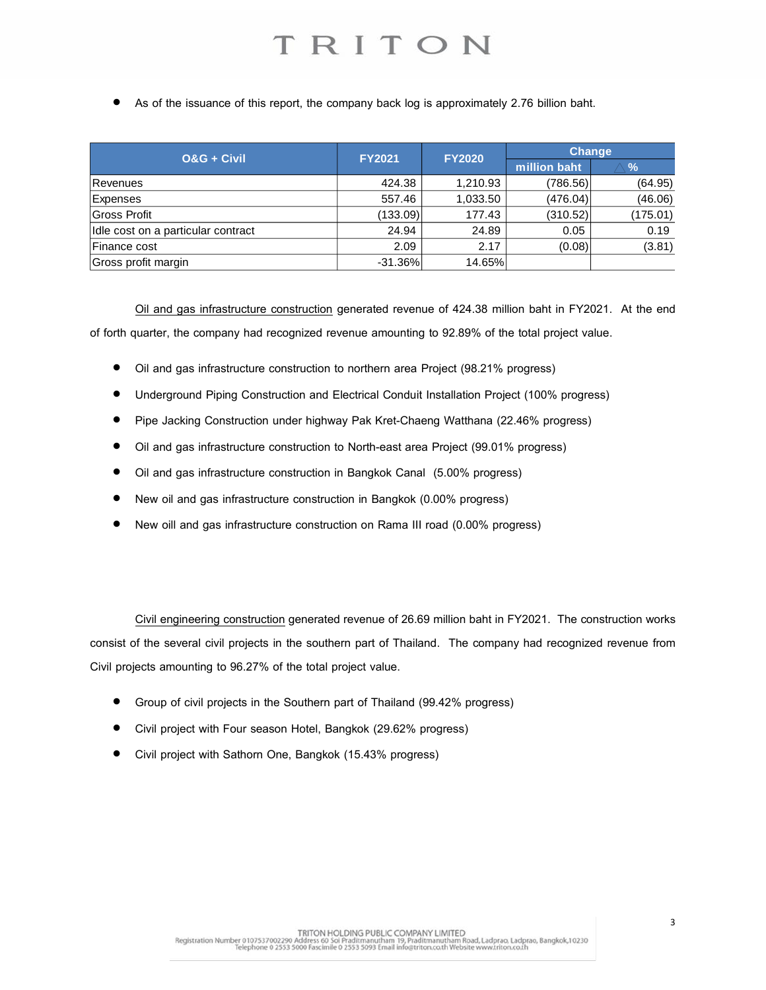As of the issuance of this report, the company back log is approximately 2.76 billion baht.

| $0&G + C$ ivil                     | <b>FY2021</b> | <b>FY2020</b> | <b>Change</b> |               |
|------------------------------------|---------------|---------------|---------------|---------------|
|                                    |               |               | million baht  | $\frac{9}{6}$ |
| Revenues                           | 424.38        | 1,210.93      | (786.56)      | (64.95)       |
| <b>Expenses</b>                    | 557.46        | 1,033.50      | (476.04)      | (46.06)       |
| Gross Profit                       | (133.09)      | 177.43        | (310.52)      | (175.01)      |
| Idle cost on a particular contract | 24.94         | 24.89         | 0.05          | 0.19          |
| Finance cost                       | 2.09          | 2.17          | (0.08)        | (3.81)        |
| Gross profit margin                | $-31.36%$     | 14.65%        |               |               |

Oil and gas infrastructure construction generated revenue of 424.38 million baht in FY2021. At the end of forth quarter, the company had recognized revenue amounting to 92.89% of the total project value.

- Oil and gas infrastructure construction to northern area Project (98.21% progress)
- Underground Piping Construction and Electrical Conduit Installation Project (100% progress)
- Pipe Jacking Construction under highway Pak Kret-Chaeng Watthana (22.46% progress)
- Oil and gas infrastructure construction to North-east area Project (99.01% progress)
- Oil and gas infrastructure construction in Bangkok Canal (5.00% progress)
- New oil and gas infrastructure construction in Bangkok (0.00% progress)
- New oill and gas infrastructure construction on Rama III road (0.00% progress)

Civil engineering construction generated revenue of 26.69 million baht in FY2021. The construction works consist of the several civil projects in the southern part of Thailand. The company had recognized revenue from Civil projects amounting to 96.27% of the total project value.

- Group of civil projects in the Southern part of Thailand (99.42% progress)
- Civil project with Four season Hotel, Bangkok (29.62% progress)
- Civil project with Sathorn One, Bangkok (15.43% progress)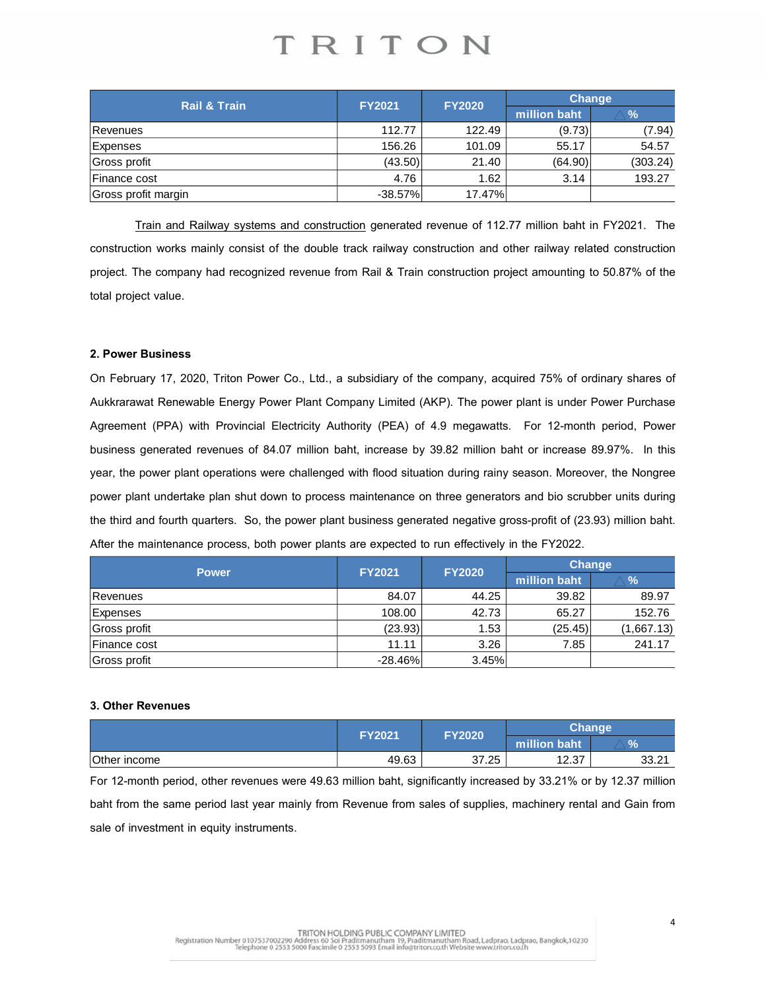| <b>Rail &amp; Train</b> | <b>FY2021</b> | <b>FY2020</b> | <b>Change</b> |               |
|-------------------------|---------------|---------------|---------------|---------------|
|                         |               |               | million baht  | $\frac{9}{6}$ |
| Revenues                | 112.77        | 122.49        | (9.73)        | (7.94)        |
| Expenses                | 156.26        | 101.09        | 55.17         | 54.57         |
| Gross profit            | (43.50)       | 21.40         | (64.90)       | (303.24)      |
| Finance cost            | 4.76          | 1.62          | 3.14          | 193.27        |
| Gross profit margin     | $-38.57%$     | 17.47%        |               |               |

Train and Railway systems and construction generated revenue of 112.77 million baht in FY2021. The construction works mainly consist of the double track railway construction and other railway related construction project. The company had recognized revenue from Rail & Train construction project amounting to 50.87% of the total project value.

### **2. Power Business**

On February 17, 2020, Triton Power Co., Ltd., a subsidiary of the company, acquired 75% of ordinary shares of Aukkrarawat Renewable Energy Power Plant Company Limited (AKP). The power plant is under Power Purchase Agreement (PPA) with Provincial Electricity Authority (PEA) of 4.9 megawatts. For 12-month period, Power business generated revenues of 84.07 million baht, increase by 39.82 million baht or increase 89.97%. In this year, the power plant operations were challenged with flood situation during rainy season. Moreover, the Nongree power plant undertake plan shut down to process maintenance on three generators and bio scrubber units during the third and fourth quarters. So, the power plant business generated negative gross-profit of (23.93) million baht. After the maintenance process, both power plants are expected to run effectively in the FY2022.

| <b>Power</b> | <b>FY2021</b> | <b>FY2020</b> | <b>Change</b> |               |
|--------------|---------------|---------------|---------------|---------------|
|              |               |               | million baht  | $\frac{9}{6}$ |
| Revenues     | 84.07         | 44.25         | 39.82         | 89.97         |
| Expenses     | 108.00        | 42.73         | 65.27         | 152.76        |
| Gross profit | (23.93)       | 1.53          | (25.45)       | (1,667.13)    |
| Finance cost | 11.11         | 3.26          | 7.85          | 241.17        |
| Gross profit | $-28.46\%$    | 3.45%         |               |               |

### **3. Other Revenues**

|              |               | <b>FY2020</b> | <b>Change</b> |                  |
|--------------|---------------|---------------|---------------|------------------|
|              | <b>FY2021</b> |               | million baht  | %                |
| Other income | 49.63         | 37.25         | 12.37         | ົດ⊿<br>າາ<br>ے.ں |

For 12-month period, other revenues were 49.63 million baht, significantly increased by 33.21% or by 12.37 million baht from the same period last year mainly from Revenue from sales of supplies, machinery rental and Gain from sale of investment in equity instruments.